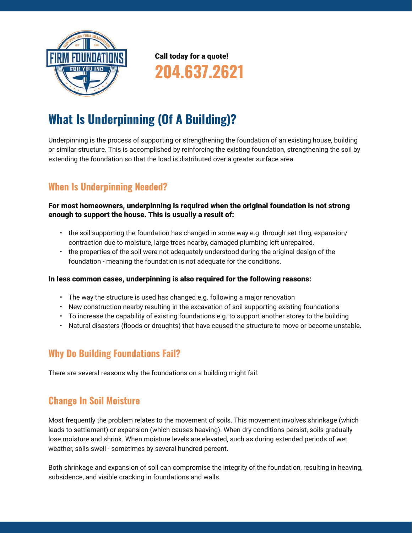

Call today for a quote!

204.637.2621

# What Is Underpinning (Of A Building)?

Underpinning is the process of supporting or strengthening the foundation of an existing house, building or similar structure. This is accomplished by reinforcing the existing foundation, strengthening the soil by extending the foundation so that the load is distributed over a greater surface area.

# When Is Underpinning Needed?

#### For most homeowners, underpinning is required when the original foundation is not strong enough to support the house. This is usually a result of:

- the soil supporting the foundation has changed in some way e.g. through set tling, expansion/ contraction due to moisture, large trees nearby, damaged plumbing left unrepaired.
- the properties of the soil were not adequately understood during the original design of the foundation - meaning the foundation is not adequate for the conditions.

#### In less common cases, underpinning is also required for the following reasons:

- The way the structure is used has changed e.g. following a major renovation
- New construction nearby resulting in the excavation of soil supporting existing foundations
- To increase the capability of existing foundations e.g. to support another storey to the building
- • Natural disasters (floods or droughts) that have caused the structure to move or become unstable.

## Why Do Building Foundations Fail?

There are several reasons why the foundations on a building might fail.

## Change In Soil Moisture

Most frequently the problem relates to the movement of soils. This movement involves shrinkage (which leads to settlement) or expansion (which causes heaving). When dry conditions persist, soils gradually lose moisture and shrink. When moisture levels are elevated, such as during extended periods of wet weather, soils swell - sometimes by several hundred percent.

Both shrinkage and expansion of soil can compromise the integrity of the foundation, resulting in heaving, subsidence, and visible cracking in foundations and walls.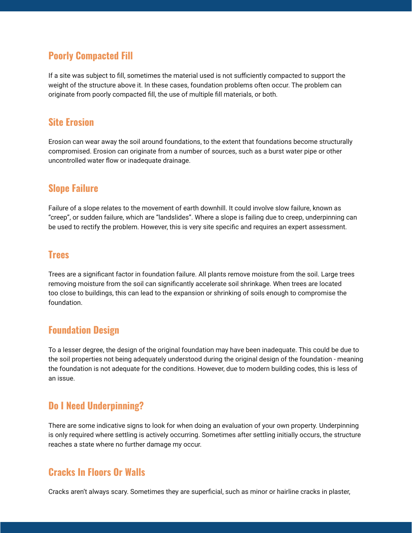## Poorly Compacted Fill

If a site was subject to fill, sometimes the material used is not sufficiently compacted to support the weight of the structure above it. In these cases, foundation problems often occur. The problem can originate from poorly compacted fill, the use of multiple fill materials, or both.

#### Site Erosion

Erosion can wear away the soil around foundations, to the extent that foundations become structurally compromised. Erosion can originate from a number of sources, such as a burst water pipe or other uncontrolled water flow or inadequate drainage.

## Slope Failure

Failure of a slope relates to the movement of earth downhill. It could involve slow failure, known as "creep", or sudden failure, which are "landslides". Where a slope is failing due to creep, underpinning can be used to rectify the problem. However, this is very site specific and requires an expert assessment.

#### **Trees**

Trees are a significant factor in foundation failure. All plants remove moisture from the soil. Large trees removing moisture from the soil can significantly accelerate soil shrinkage. When trees are located too close to buildings, this can lead to the expansion or shrinking of soils enough to compromise the foundation.

## Foundation Design

To a lesser degree, the design of the original foundation may have been inadequate. This could be due to the soil properties not being adequately understood during the original design of the foundation - meaning the foundation is not adequate for the conditions. However, due to modern building codes, this is less of an issue.

# Do I Need Underpinning?

There are some indicative signs to look for when doing an evaluation of your own property. Underpinning is only required where settling is actively occurring. Sometimes after settling initially occurs, the structure reaches a state where no further damage my occur.

## Cracks In Floors Or Walls

Cracks aren't always scary. Sometimes they are superficial, such as minor or hairline cracks in plaster,